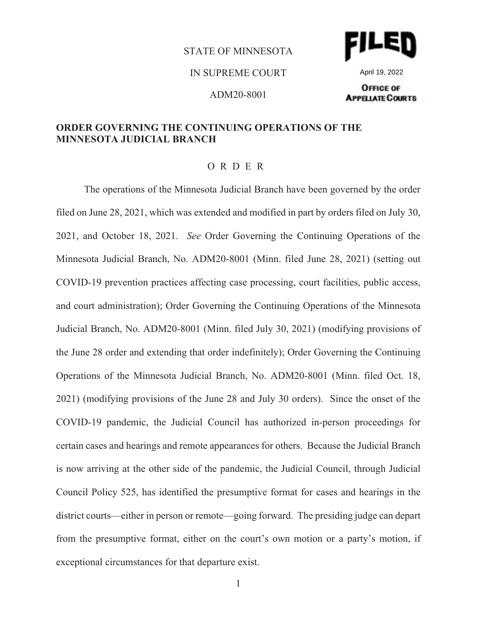#### STATE OF MINNESOTA





April 19, 2022

ADM20-8001

#### **OFFICE OF APPELIATE COURTS**

### **ORDER GOVERNING THE CONTINUING OPERATIONS OF THE MINNESOTA JUDICIAL BRANCH**

#### ORDER

The operations of the Minnesota Judicial Branch have been governed by the order filed on June 28, 2021, which was extended and modified in part by orders filed on July 30, 2021, and October 18, 2021. *See* Order Governing the Continuing Operations of the Minnesota Judicial Branch, No. ADM20-8001 (Minn. filed June 28, 2021) (setting out COVID-19 prevention practices affecting case processing, court facilities, public access, and court administration); Order Governing the Continuing Operations of the Minnesota Judicial Branch, No. ADM20-8001 (Minn. filed July 30, 2021) (modifying provisions of the June 28 order and extending that order indefinitely); Order Governing the Continuing Operations of the Minnesota Judicial Branch, No. ADM20-8001 (Minn. filed Oct. 18, 2021) (modifying provisions of the June 28 and July 30 orders). Since the onset of the COVID-19 pandemic, the Judicial Council has authorized in-person proceedings for certain cases and hearings and remote appearances for others. Because the Judicial Branch is now arriving at the other side of the pandemic, the Judicial Council, through Judicial Council Policy 525, has identified the presumptive format for cases and hearings in the district courts—either in person or remote—going forward. The presiding judge can depart from the presumptive format, either on the court's own motion or a party's motion, if exceptional circumstances for that departure exist.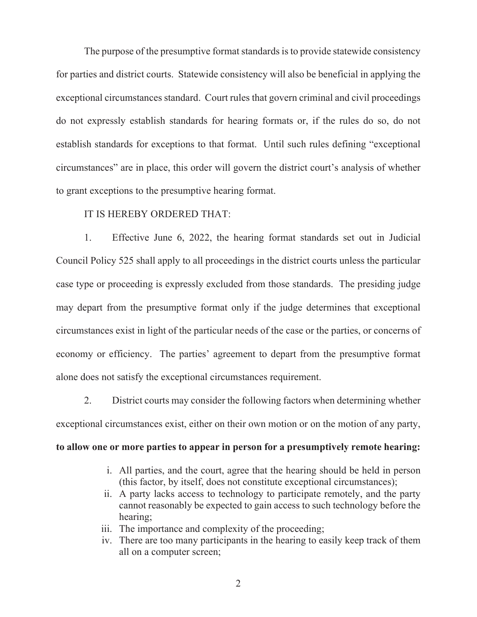The purpose of the presumptive format standards is to provide statewide consistency for parties and district courts. Statewide consistency will also be beneficial in applying the exceptional circumstances standard. Court rules that govern criminal and civil proceedings do not expressly establish standards for hearing formats or, if the rules do so, do not establish standards for exceptions to that format. Until such rules defining "exceptional circumstances" are in place, this order will govern the district court's analysis of whether to grant exceptions to the presumptive hearing format.

### IT IS HEREBY ORDERED THAT:

1. Effective June 6, 2022, the hearing format standards set out in Judicial Council Policy 525 shall apply to all proceedings in the district courts unless the particular case type or proceeding is expressly excluded from those standards. The presiding judge may depart from the presumptive format only if the judge determines that exceptional circumstances exist in light of the particular needs of the case or the parties, or concerns of economy or efficiency. The parties' agreement to depart from the presumptive format alone does not satisfy the exceptional circumstances requirement.

2. District courts may consider the following factors when determining whether exceptional circumstances exist, either on their own motion or on the motion of any party,

## **to allow one or more parties to appear in person for a presumptively remote hearing:**

- i. All parties, and the court, agree that the hearing should be held in person (this factor, by itself, does not constitute exceptional circumstances);
- ii. A party lacks access to technology to participate remotely, and the party cannot reasonably be expected to gain access to such technology before the hearing;
- iii. The importance and complexity of the proceeding;
- iv. There are too many participants in the hearing to easily keep track of them all on a computer screen;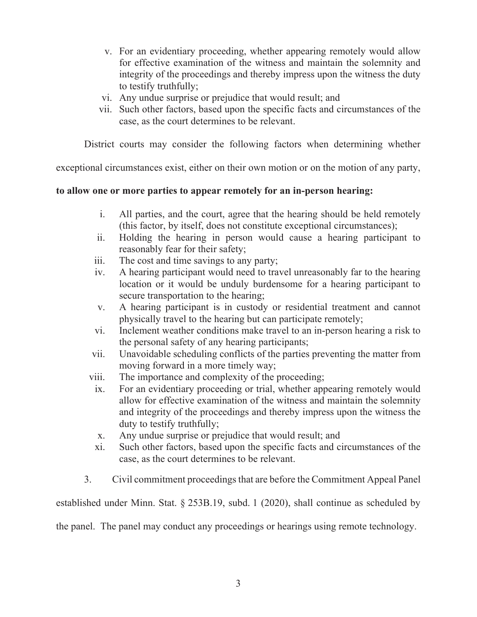- v. For an evidentiary proceeding, whether appearing remotely would allow for effective examination of the witness and maintain the solemnity and integrity of the proceedings and thereby impress upon the witness the duty to testify truthfully;
- vi. Any undue surprise or prejudice that would result; and
- vii. Such other factors, based upon the specific facts and circumstances of the case, as the court determines to be relevant.

District courts may consider the following factors when determining whether

exceptional circumstances exist, either on their own motion or on the motion of any party,

# **to allow one or more parties to appear remotely for an in-person hearing:**

- i. All parties, and the court, agree that the hearing should be held remotely (this factor, by itself, does not constitute exceptional circumstances);
- ii. Holding the hearing in person would cause a hearing participant to reasonably fear for their safety;
- iii. The cost and time savings to any party;
- iv. A hearing participant would need to travel unreasonably far to the hearing location or it would be unduly burdensome for a hearing participant to secure transportation to the hearing;
- v. A hearing participant is in custody or residential treatment and cannot physically travel to the hearing but can participate remotely;
- vi. Inclement weather conditions make travel to an in-person hearing a risk to the personal safety of any hearing participants;
- vii. Unavoidable scheduling conflicts of the parties preventing the matter from moving forward in a more timely way;
- viii. The importance and complexity of the proceeding;
- ix. For an evidentiary proceeding or trial, whether appearing remotely would allow for effective examination of the witness and maintain the solemnity and integrity of the proceedings and thereby impress upon the witness the duty to testify truthfully;
- x. Any undue surprise or prejudice that would result; and
- xi. Such other factors, based upon the specific facts and circumstances of the case, as the court determines to be relevant.
- 3. Civil commitment proceedings that are before the Commitment Appeal Panel

established under Minn. Stat. § 253B.19, subd. 1 (2020), shall continue as scheduled by

the panel. The panel may conduct any proceedings or hearings using remote technology.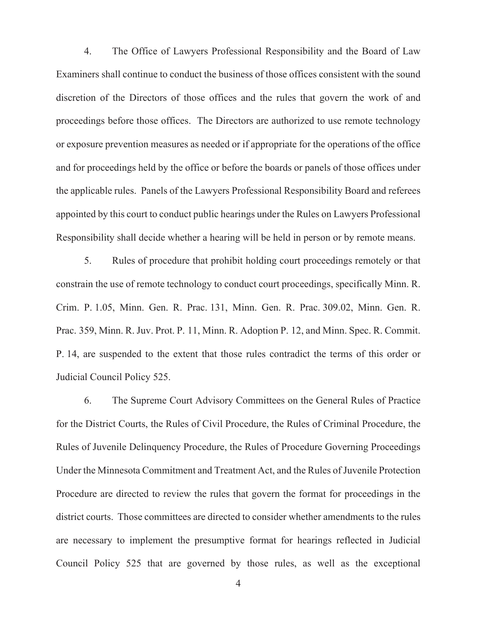4. The Office of Lawyers Professional Responsibility and the Board of Law Examiners shall continue to conduct the business of those offices consistent with the sound discretion of the Directors of those offices and the rules that govern the work of and proceedings before those offices. The Directors are authorized to use remote technology or exposure prevention measures as needed or if appropriate for the operations of the office and for proceedings held by the office or before the boards or panels of those offices under the applicable rules. Panels of the Lawyers Professional Responsibility Board and referees appointed by this court to conduct public hearings under the Rules on Lawyers Professional Responsibility shall decide whether a hearing will be held in person or by remote means.

5. Rules of procedure that prohibit holding court proceedings remotely or that constrain the use of remote technology to conduct court proceedings, specifically Minn. R. Crim. P. 1.05, Minn. Gen. R. Prac. 131, Minn. Gen. R. Prac. 309.02, Minn. Gen. R. Prac. 359, Minn. R. Juv. Prot. P. 11, Minn. R. Adoption P. 12, and Minn. Spec. R. Commit. P. 14, are suspended to the extent that those rules contradict the terms of this order or Judicial Council Policy 525.

6. The Supreme Court Advisory Committees on the General Rules of Practice for the District Courts, the Rules of Civil Procedure, the Rules of Criminal Procedure, the Rules of Juvenile Delinquency Procedure, the Rules of Procedure Governing Proceedings Under the Minnesota Commitment and Treatment Act, and the Rules of Juvenile Protection Procedure are directed to review the rules that govern the format for proceedings in the district courts. Those committees are directed to consider whether amendments to the rules are necessary to implement the presumptive format for hearings reflected in Judicial Council Policy 525 that are governed by those rules, as well as the exceptional